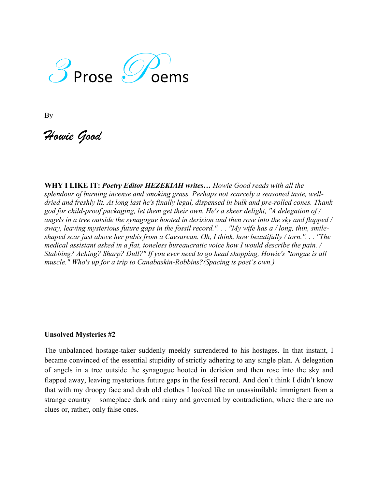

By

*Howie Good*

**WHY I LIKE IT:** *Poetry Editor HEZEKIAH writes… Howie Good reads with all the splendour of burning incense and smoking grass. Perhaps not scarcely a seasoned taste, welldried and freshly lit. At long last he's finally legal, dispensed in bulk and pre-rolled cones. Thank god for child-proof packaging, let them get their own. He's a sheer delight, "A delegation of / angels in a tree outside the synagogue hooted in derision and then rose into the sky and flapped / away, leaving mysterious future gaps in the fossil record.". . . "My wife has a / long, thin, smileshaped scar just above her pubis from a Caesarean. Oh, I think, how beautifully / torn.". . . "The medical assistant asked in a flat, toneless bureaucratic voice how I would describe the pain. / Stabbing? Aching? Sharp? Dull?" If you ever need to go head shopping, Howie's "tongue is all muscle." Who's up for a trip to Canabaskin-Robbins?(Spacing is poet's own.)*

## **Unsolved Mysteries #2**

The unbalanced hostage-taker suddenly meekly surrendered to his hostages. In that instant, I became convinced of the essential stupidity of strictly adhering to any single plan. A delegation of angels in a tree outside the synagogue hooted in derision and then rose into the sky and flapped away, leaving mysterious future gaps in the fossil record. And don't think I didn't know that with my droopy face and drab old clothes I looked like an unassimilable immigrant from a strange country – someplace dark and rainy and governed by contradiction, where there are no clues or, rather, only false ones.